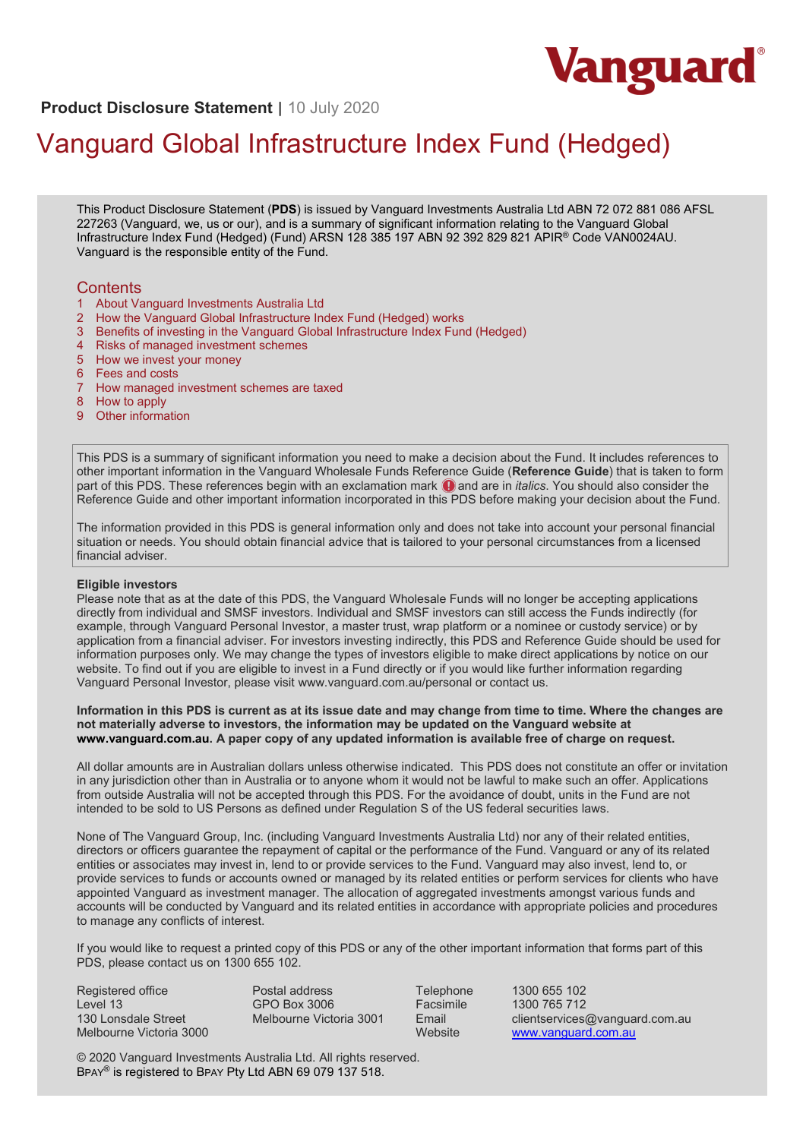

# **Product Disclosure Statement** | 10 July 2020

# Vanguard Global Infrastructure Index Fund (Hedged)

This Product Disclosure Statement (**PDS**) is issued by Vanguard Investments Australia Ltd ABN 72 072 881 086 AFSL 227263 (Vanguard, we, us or our), and is a summary of significant information relating to the Vanguard Global Infrastructure Index Fund (Hedged) (Fund) ARSN 128 385 197 ABN 92 392 829 821 APIR® Code VAN0024AU. Vanguard is the responsible entity of the Fund.

## **Contents**

- 1 About Vanguard Investments Australia Ltd<br>2 How the Vanguard Global Infrastructure Inc
- 2 How the Vanguard Global Infrastructure Index Fund (Hedged) works
- 3 Benefits of investing in the Vanguard Global Infrastructure Index Fund (Hedged)
- 4 Risks of managed investment schemes
- 5 How we invest your money
- 6 Fees and costs
- How managed investment schemes are taxed
- 8 How to apply
- 9 Other information

This PDS is a summary of significant information you need to make a decision about the Fund. It includes references to other important information in the Vanguard Wholesale Funds Reference Guide (**Reference Guide**) that is taken to form part of this PDS. These references begin with an exclamation mark  $\bigcirc$  and are in *italics*. You should also consider the Reference Guide and other important information incorporated in this PDS before making your decision about the Fund.

The information provided in this PDS is general information only and does not take into account your personal financial situation or needs. You should obtain financial advice that is tailored to your personal circumstances from a licensed financial adviser.

#### **Eligible investors**

Please note that as at the date of this PDS, the Vanguard Wholesale Funds will no longer be accepting applications directly from individual and SMSF investors. Individual and SMSF investors can still access the Funds indirectly (for example, through Vanguard Personal Investor, a master trust, wrap platform or a nominee or custody service) or by application from a financial adviser. For investors investing indirectly, this PDS and Reference Guide should be used for information purposes only. We may change the types of investors eligible to make direct applications by notice on our website. To find out if you are eligible to invest in a Fund directly or if you would like further information regarding Vanguard Personal Investor, please visit www.vanguard.com.au/personal or contact us.

**Information in this PDS is current as at its issue date and may change from time to time. Where the changes are not materially adverse to investors, the information may be updated on the Vanguard website at [www.vanguard.com.au.](http://www.vanguard.com.au/) A paper copy of any updated information is available free of charge on request.**

All dollar amounts are in Australian dollars unless otherwise indicated. This PDS does not constitute an offer or invitation in any jurisdiction other than in Australia or to anyone whom it would not be lawful to make such an offer. Applications from outside Australia will not be accepted through this PDS. For the avoidance of doubt, units in the Fund are not intended to be sold to US Persons as defined under Regulation S of the US federal securities laws.

None of The Vanguard Group, Inc. (including Vanguard Investments Australia Ltd) nor any of their related entities, directors or officers guarantee the repayment of capital or the performance of the Fund. Vanguard or any of its related entities or associates may invest in, lend to or provide services to the Fund. Vanguard may also invest, lend to, or provide services to funds or accounts owned or managed by its related entities or perform services for clients who have appointed Vanguard as investment manager. The allocation of aggregated investments amongst various funds and accounts will be conducted by Vanguard and its related entities in accordance with appropriate policies and procedures to manage any conflicts of interest.

If you would like to request a printed copy of this PDS or any of the other important information that forms part of this PDS, please contact us on 1300 655 102.

Registered office Level 13 130 Lonsdale Street Melbourne Victoria 3000

Postal address GPO Box 3006 Melbourne Victoria 3001

Telephone 1300 655 102 Facsimile 1300 765 712<br>Fmail clientservices Email clientservices@vanguard.com.au<br>Website www.vanguard.com.au [www.vanguard.com.au](http://www.vanguard.com.au/)

© 2020 Vanguard Investments Australia Ltd. All rights reserved. BPAY® is registered to BPAY Pty Ltd ABN 69 079 137 518.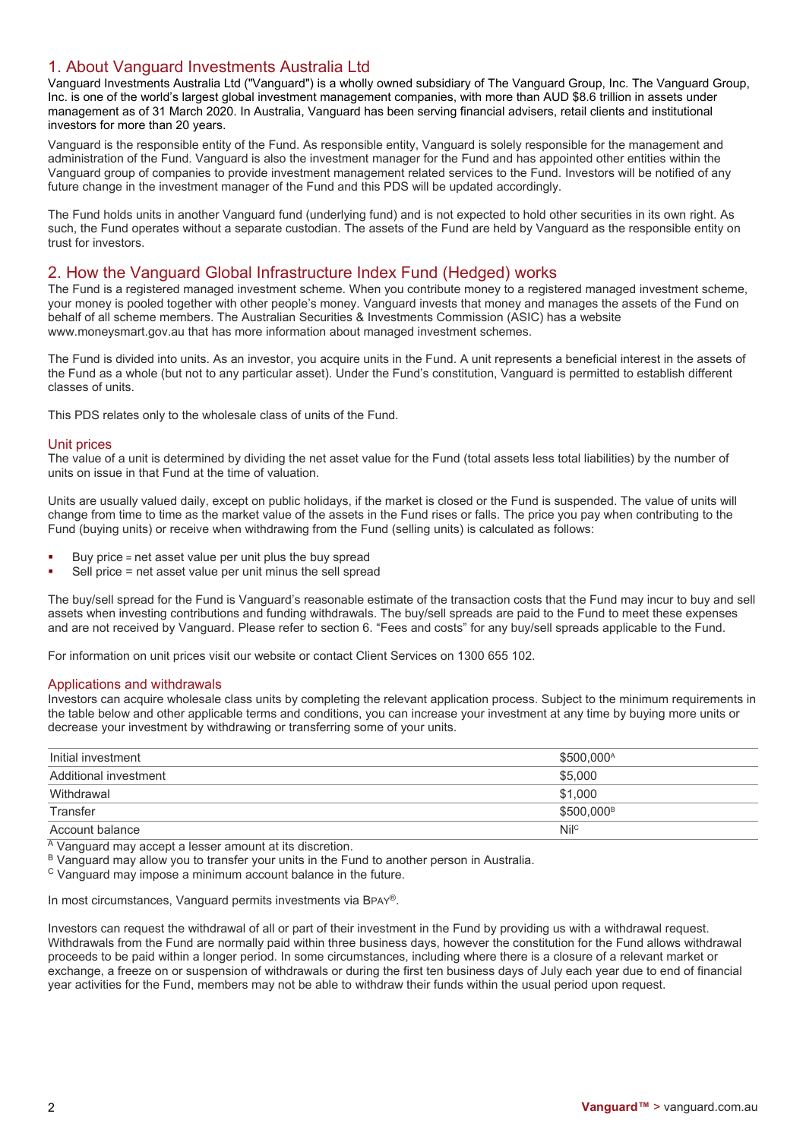# 1. About Vanguard Investments Australia Ltd

Vanguard Investments Australia Ltd ("Vanguard") is a wholly owned subsidiary of The Vanguard Group, Inc. The Vanguard Group, Inc. is one of the world's largest global investment management companies, with more than AUD \$8.6 trillion in assets under management as of 31 March 2020. In Australia, Vanguard has been serving financial advisers, retail clients and institutional investors for more than 20 years.

Vanguard is the responsible entity of the Fund. As responsible entity, Vanguard is solely responsible for the management and administration of the Fund. Vanguard is also the investment manager for the Fund and has appointed other entities within the Vanguard group of companies to provide investment management related services to the Fund. Investors will be notified of any future change in the investment manager of the Fund and this PDS will be updated accordingly.

The Fund holds units in another Vanguard fund (underlying fund) and is not expected to hold other securities in its own right. As such, the Fund operates without a separate custodian. The assets of the Fund are held by Vanguard as the responsible entity on trust for investors.

## 2. How the Vanguard Global Infrastructure Index Fund (Hedged) works

The Fund is a registered managed investment scheme. When you contribute money to a registered managed investment scheme, your money is pooled together with other people's money. Vanguard invests that money and manages the assets of the Fund on behalf of all scheme members. The Australian Securities & Investments Commission (ASIC) has a website www.moneysmart.gov.au that has more information about managed investment schemes.

The Fund is divided into units. As an investor, you acquire units in the Fund. A unit represents a beneficial interest in the assets of the Fund as a whole (but not to any particular asset). Under the Fund's constitution, Vanguard is permitted to establish different classes of units.

This PDS relates only to the wholesale class of units of the Fund.

## Unit prices

The value of a unit is determined by dividing the net asset value for the Fund (total assets less total liabilities) by the number of units on issue in that Fund at the time of valuation.

Units are usually valued daily, except on public holidays, if the market is closed or the Fund is suspended. The value of units will change from time to time as the market value of the assets in the Fund rises or falls. The price you pay when contributing to the Fund (buying units) or receive when withdrawing from the Fund (selling units) is calculated as follows:

- Buy price = net asset value per unit plus the buy spread
- Sell price = net asset value per unit minus the sell spread

The buy/sell spread for the Fund is Vanguard's reasonable estimate of the transaction costs that the Fund may incur to buy and sell assets when investing contributions and funding withdrawals. The buy/sell spreads are paid to the Fund to meet these expenses and are not received by Vanguard. Please refer to section 6. "Fees and costs" for any buy/sell spreads applicable to the Fund.

For information on unit prices visit our website or contact Client Services on 1300 655 102.

## Applications and withdrawals

Investors can acquire wholesale class units by completing the relevant application process. Subject to the minimum requirements in the table below and other applicable terms and conditions, you can increase your investment at any time by buying more units or decrease your investment by withdrawing or transferring some of your units.

| Initial investment    | \$500,000 <sup>A</sup> |
|-----------------------|------------------------|
| Additional investment | \$5.000                |
| Withdrawal            | \$1.000                |
| Transfer              | \$500.000 <sup>B</sup> |
| Account balance       | Nilc                   |

<sup>A</sup> Vanguard may accept a lesser amount at its discretion.

B Vanguard may allow you to transfer your units in the Fund to another person in Australia.

<sup>C</sup> Vanguard may impose a minimum account balance in the future.

In most circumstances, Vanguard permits investments via BPAY®.

Investors can request the withdrawal of all or part of their investment in the Fund by providing us with a withdrawal request. Withdrawals from the Fund are normally paid within three business days, however the constitution for the Fund allows withdrawal proceeds to be paid within a longer period. In some circumstances, including where there is a closure of a relevant market or exchange, a freeze on or suspension of withdrawals or during the first ten business days of July each year due to end of financial year activities for the Fund, members may not be able to withdraw their funds within the usual period upon request.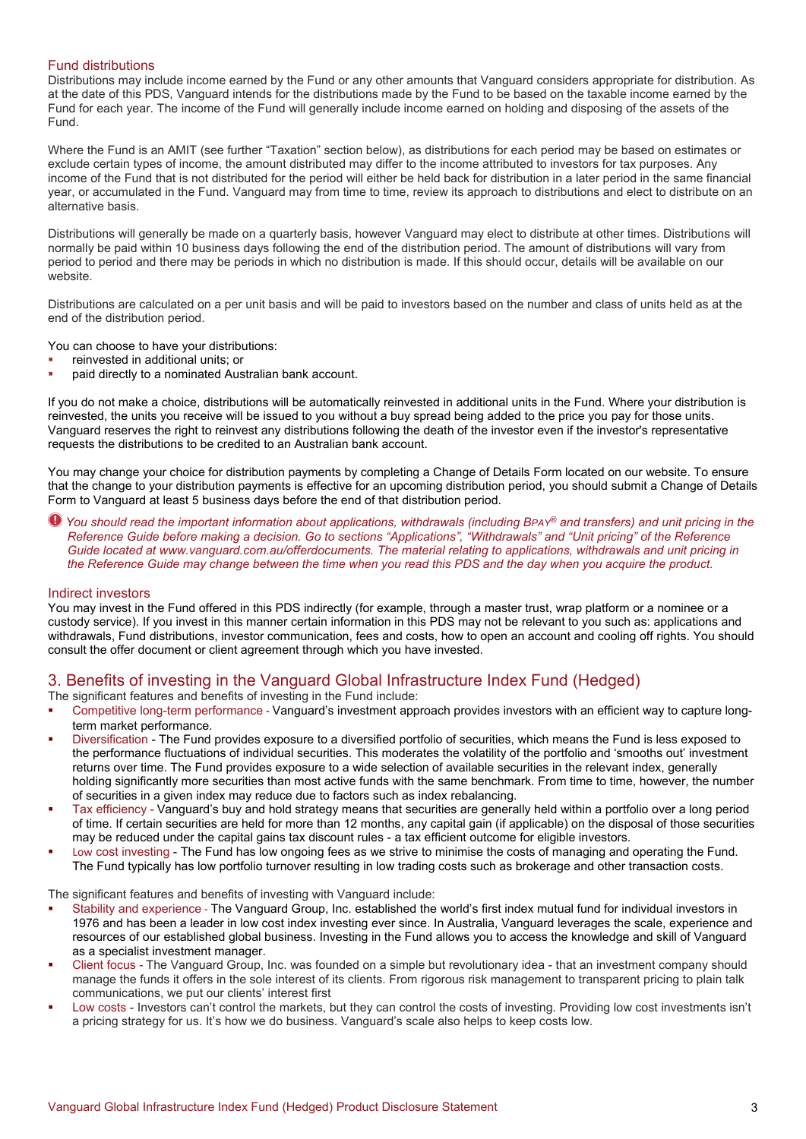## Fund distributions

Distributions may include income earned by the Fund or any other amounts that Vanguard considers appropriate for distribution. As at the date of this PDS, Vanguard intends for the distributions made by the Fund to be based on the taxable income earned by the Fund for each year. The income of the Fund will generally include income earned on holding and disposing of the assets of the Fund.

Where the Fund is an AMIT (see further "Taxation" section below), as distributions for each period may be based on estimates or exclude certain types of income, the amount distributed may differ to the income attributed to investors for tax purposes. Any income of the Fund that is not distributed for the period will either be held back for distribution in a later period in the same financial year, or accumulated in the Fund. Vanguard may from time to time, review its approach to distributions and elect to distribute on an alternative basis.

Distributions will generally be made on a quarterly basis, however Vanguard may elect to distribute at other times. Distributions will normally be paid within 10 business days following the end of the distribution period. The amount of distributions will vary from period to period and there may be periods in which no distribution is made. If this should occur, details will be available on our website.

Distributions are calculated on a per unit basis and will be paid to investors based on the number and class of units held as at the end of the distribution period.

You can choose to have your distributions:

- reinvested in additional units; or
- paid directly to a nominated Australian bank account.

If you do not make a choice, distributions will be automatically reinvested in additional units in the Fund. Where your distribution is reinvested, the units you receive will be issued to you without a buy spread being added to the price you pay for those units. Vanguard reserves the right to reinvest any distributions following the death of the investor even if the investor's representative requests the distributions to be credited to an Australian bank account.

You may change your choice for distribution payments by completing a Change of Details Form located on our website. To ensure that the change to your distribution payments is effective for an upcoming distribution period, you should submit a Change of Details Form to Vanguard at least 5 business days before the end of that distribution period.

*You should read the important information about applications, withdrawals (including BPAY® and transfers) and unit pricing in the Reference Guide before making a decision. Go to sections "Applications", "Withdrawals" and "Unit pricing" of the Reference Guide located at www.vanguard.com.au/offerdocuments. The material relating to applications, withdrawals and unit pricing in the Reference Guide may change between the time when you read this PDS and the day when you acquire the product.*

#### Indirect investors

You may invest in the Fund offered in this PDS indirectly (for example, through a master trust, wrap platform or a nominee or a custody service). If you invest in this manner certain information in this PDS may not be relevant to you such as: applications and withdrawals, Fund distributions, investor communication, fees and costs, how to open an account and cooling off rights. You should consult the offer document or client agreement through which you have invested.

# 3. Benefits of investing in the Vanguard Global Infrastructure Index Fund (Hedged)

The significant features and benefits of investing in the Fund include:

- Competitive long-term performance Vanguard's investment approach provides investors with an efficient way to capture longterm market performance.
- Diversification The Fund provides exposure to a diversified portfolio of securities, which means the Fund is less exposed to the performance fluctuations of individual securities. This moderates the volatility of the portfolio and 'smooths out' investment returns over time. The Fund provides exposure to a wide selection of available securities in the relevant index, generally holding significantly more securities than most active funds with the same benchmark. From time to time, however, the number of securities in a given index may reduce due to factors such as index rebalancing.
- Tax efficiency Vanguard's buy and hold strategy means that securities are generally held within a portfolio over a long period of time. If certain securities are held for more than 12 months, any capital gain (if applicable) on the disposal of those securities may be reduced under the capital gains tax discount rules - a tax efficient outcome for eligible investors.
- Low cost investing The Fund has low ongoing fees as we strive to minimise the costs of managing and operating the Fund. The Fund typically has low portfolio turnover resulting in low trading costs such as brokerage and other transaction costs.

The significant features and benefits of investing with Vanguard include:

- Stability and experience The Vanguard Group, Inc. established the world's first index mutual fund for individual investors in 1976 and has been a leader in low cost index investing ever since. In Australia, Vanguard leverages the scale, experience and resources of our established global business. Investing in the Fund allows you to access the knowledge and skill of Vanguard as a specialist investment manager.
- Client focus The Vanguard Group, Inc. was founded on a simple but revolutionary idea that an investment company should manage the funds it offers in the sole interest of its clients. From rigorous risk management to transparent pricing to plain talk communications, we put our clients' interest first
- Low costs Investors can't control the markets, but they can control the costs of investing. Providing low cost investments isn't a pricing strategy for us. It's how we do business. Vanguard's scale also helps to keep costs low.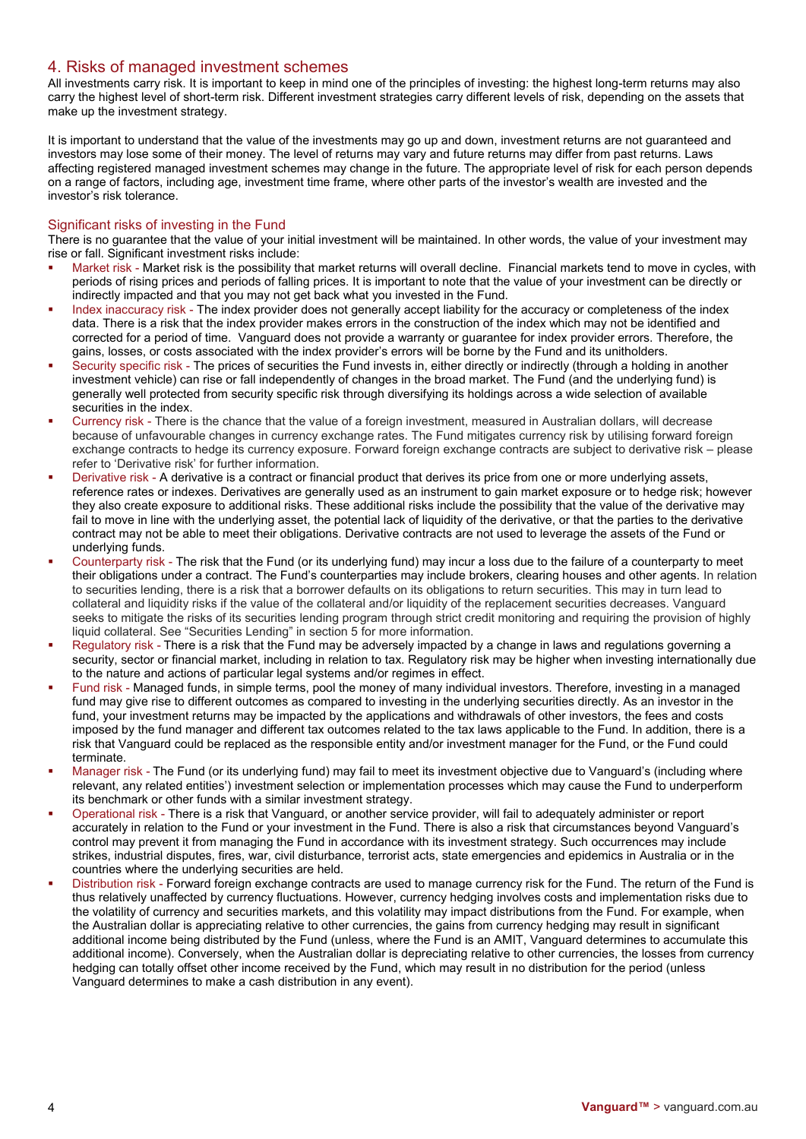## 4. Risks of managed investment schemes

All investments carry risk. It is important to keep in mind one of the principles of investing: the highest long-term returns may also carry the highest level of short-term risk. Different investment strategies carry different levels of risk, depending on the assets that make up the investment strategy.

It is important to understand that the value of the investments may go up and down, investment returns are not guaranteed and investors may lose some of their money. The level of returns may vary and future returns may differ from past returns. Laws affecting registered managed investment schemes may change in the future. The appropriate level of risk for each person depends on a range of factors, including age, investment time frame, where other parts of the investor's wealth are invested and the investor's risk tolerance.

## Significant risks of investing in the Fund

There is no guarantee that the value of your initial investment will be maintained. In other words, the value of your investment may rise or fall. Significant investment risks include:

- Market risk Market risk is the possibility that market returns will overall decline. Financial markets tend to move in cycles, with periods of rising prices and periods of falling prices. It is important to note that the value of your investment can be directly or indirectly impacted and that you may not get back what you invested in the Fund.
- Index inaccuracy risk The index provider does not generally accept liability for the accuracy or completeness of the index data. There is a risk that the index provider makes errors in the construction of the index which may not be identified and corrected for a period of time. Vanguard does not provide a warranty or guarantee for index provider errors. Therefore, the gains, losses, or costs associated with the index provider's errors will be borne by the Fund and its unitholders.
- Security specific risk The prices of securities the Fund invests in, either directly or indirectly (through a holding in another investment vehicle) can rise or fall independently of changes in the broad market. The Fund (and the underlying fund) is generally well protected from security specific risk through diversifying its holdings across a wide selection of available securities in the index.
- Currency risk There is the chance that the value of a foreign investment, measured in Australian dollars, will decrease because of unfavourable changes in currency exchange rates. The Fund mitigates currency risk by utilising forward foreign exchange contracts to hedge its currency exposure. Forward foreign exchange contracts are subject to derivative risk – please refer to 'Derivative risk' for further information.
- Derivative risk A derivative is a contract or financial product that derives its price from one or more underlying assets, reference rates or indexes. Derivatives are generally used as an instrument to gain market exposure or to hedge risk; however they also create exposure to additional risks. These additional risks include the possibility that the value of the derivative may fail to move in line with the underlying asset, the potential lack of liquidity of the derivative, or that the parties to the derivative contract may not be able to meet their obligations. Derivative contracts are not used to leverage the assets of the Fund or underlying funds.
- Counterparty risk The risk that the Fund (or its underlying fund) may incur a loss due to the failure of a counterparty to meet their obligations under a contract. The Fund's counterparties may include brokers, clearing houses and other agents. In relation to securities lending, there is a risk that a borrower defaults on its obligations to return securities. This may in turn lead to collateral and liquidity risks if the value of the collateral and/or liquidity of the replacement securities decreases. Vanguard seeks to mitigate the risks of its securities lending program through strict credit monitoring and requiring the provision of highly liquid collateral. See "Securities Lending" in section 5 for more information.
- Regulatory risk There is a risk that the Fund may be adversely impacted by a change in laws and regulations governing a security, sector or financial market, including in relation to tax. Regulatory risk may be higher when investing internationally due to the nature and actions of particular legal systems and/or regimes in effect.
- Fund risk Managed funds, in simple terms, pool the money of many individual investors. Therefore, investing in a managed fund may give rise to different outcomes as compared to investing in the underlying securities directly. As an investor in the fund, your investment returns may be impacted by the applications and withdrawals of other investors, the fees and costs imposed by the fund manager and different tax outcomes related to the tax laws applicable to the Fund. In addition, there is a risk that Vanguard could be replaced as the responsible entity and/or investment manager for the Fund, or the Fund could terminate.
- Manager risk The Fund (or its underlying fund) may fail to meet its investment objective due to Vanguard's (including where relevant, any related entities') investment selection or implementation processes which may cause the Fund to underperform its benchmark or other funds with a similar investment strategy.
- Operational risk There is a risk that Vanguard, or another service provider, will fail to adequately administer or report accurately in relation to the Fund or your investment in the Fund. There is also a risk that circumstances beyond Vanguard's control may prevent it from managing the Fund in accordance with its investment strategy. Such occurrences may include strikes, industrial disputes, fires, war, civil disturbance, terrorist acts, state emergencies and epidemics in Australia or in the countries where the underlying securities are held.
- Distribution risk Forward foreign exchange contracts are used to manage currency risk for the Fund. The return of the Fund is thus relatively unaffected by currency fluctuations. However, currency hedging involves costs and implementation risks due to the volatility of currency and securities markets, and this volatility may impact distributions from the Fund. For example, when the Australian dollar is appreciating relative to other currencies, the gains from currency hedging may result in significant additional income being distributed by the Fund (unless, where the Fund is an AMIT, Vanguard determines to accumulate this additional income). Conversely, when the Australian dollar is depreciating relative to other currencies, the losses from currency hedging can totally offset other income received by the Fund, which may result in no distribution for the period (unless Vanguard determines to make a cash distribution in any event).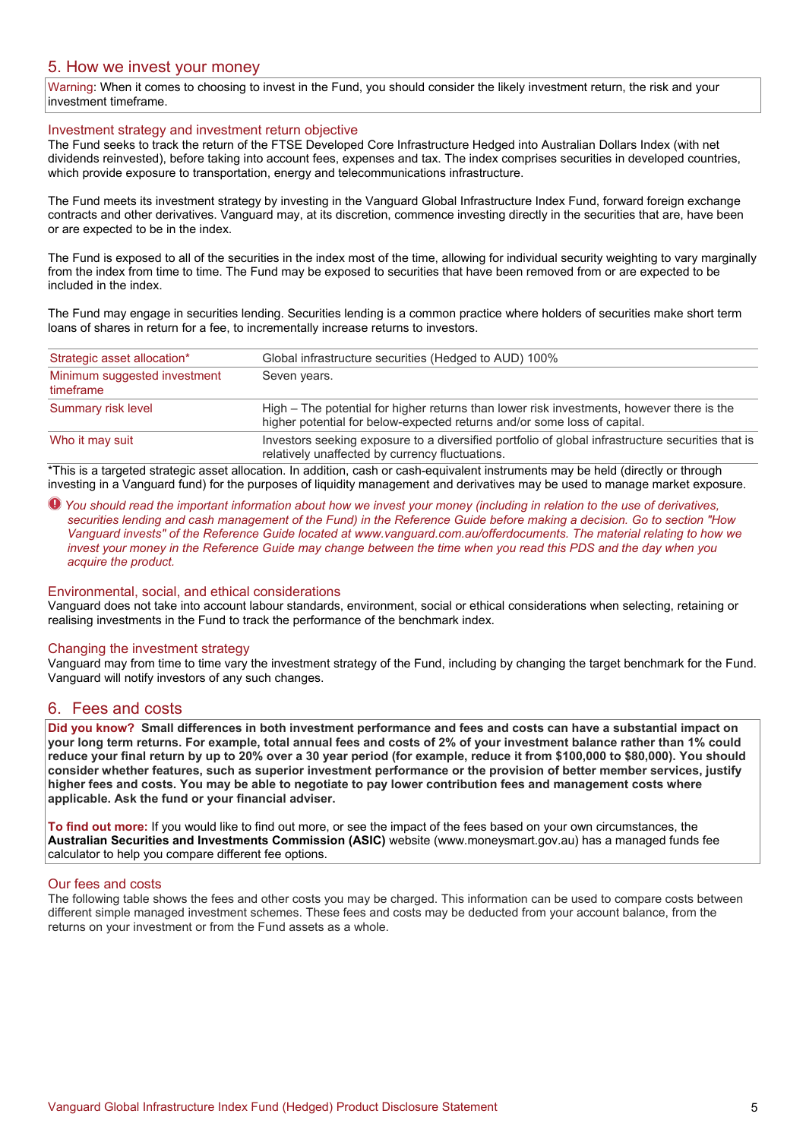## 5. How we invest your money

Warning: When it comes to choosing to invest in the Fund, you should consider the likely investment return, the risk and your investment timeframe.

## Investment strategy and investment return objective

The Fund seeks to track the return of the FTSE Developed Core Infrastructure Hedged into Australian Dollars Index (with net dividends reinvested), before taking into account fees, expenses and tax. The index comprises securities in developed countries, which provide exposure to transportation, energy and telecommunications infrastructure.

The Fund meets its investment strategy by investing in the Vanguard Global Infrastructure Index Fund, forward foreign exchange contracts and other derivatives. Vanguard may, at its discretion, commence investing directly in the securities that are, have been or are expected to be in the index.

The Fund is exposed to all of the securities in the index most of the time, allowing for individual security weighting to vary marginally from the index from time to time. The Fund may be exposed to securities that have been removed from or are expected to be included in the index.

The Fund may engage in securities lending. Securities lending is a common practice where holders of securities make short term loans of shares in return for a fee, to incrementally increase returns to investors.

| Strategic asset allocation*               | Global infrastructure securities (Hedged to AUD) 100%                                                                                                                 |  |
|-------------------------------------------|-----------------------------------------------------------------------------------------------------------------------------------------------------------------------|--|
| Minimum suggested investment<br>timeframe | Seven years.                                                                                                                                                          |  |
| Summary risk level                        | High – The potential for higher returns than lower risk investments, however there is the<br>higher potential for below-expected returns and/or some loss of capital. |  |
| Who it may suit                           | Investors seeking exposure to a diversified portfolio of global infrastructure securities that is<br>relatively unaffected by currency fluctuations.                  |  |

\*This is a targeted strategic asset allocation. In addition, cash or cash-equivalent instruments may be held (directly or through investing in a Vanguard fund) for the purposes of liquidity management and derivatives may be used to manage market exposure.

*You should read the important information about how we invest your money (including in relation to the use of derivatives, securities lending and cash management of the Fund) in the Reference Guide before making a decision. Go to section "How Vanguard invests" of the Reference Guide located at www.vanguard.com.au/offerdocuments. The material relating to how we invest your money in the Reference Guide may change between the time when you read this PDS and the day when you acquire the product.*

## Environmental, social, and ethical considerations

Vanguard does not take into account labour standards, environment, social or ethical considerations when selecting, retaining or realising investments in the Fund to track the performance of the benchmark index.

## Changing the investment strategy

Vanguard may from time to time vary the investment strategy of the Fund, including by changing the target benchmark for the Fund. Vanguard will notify investors of any such changes.

## 6. Fees and costs

**Did you know? Small differences in both investment performance and fees and costs can have a substantial impact on your long term returns. For example, total annual fees and costs of 2% of your investment balance rather than 1% could reduce your final return by up to 20% over a 30 year period (for example, reduce it from \$100,000 to \$80,000). You should consider whether features, such as superior investment performance or the provision of better member services, justify higher fees and costs. You may be able to negotiate to pay lower contribution fees and management costs where applicable. Ask the fund or your financial adviser.**

**To find out more:** If you would like to find out more, or see the impact of the fees based on your own circumstances, the **Australian Securities and Investments Commission (ASIC)** website (www.moneysmart.gov.au) has a managed funds fee calculator to help you compare different fee options.

#### Our fees and costs

The following table shows the fees and other costs you may be charged. This information can be used to compare costs between different simple managed investment schemes. These fees and costs may be deducted from your account balance, from the returns on your investment or from the Fund assets as a whole.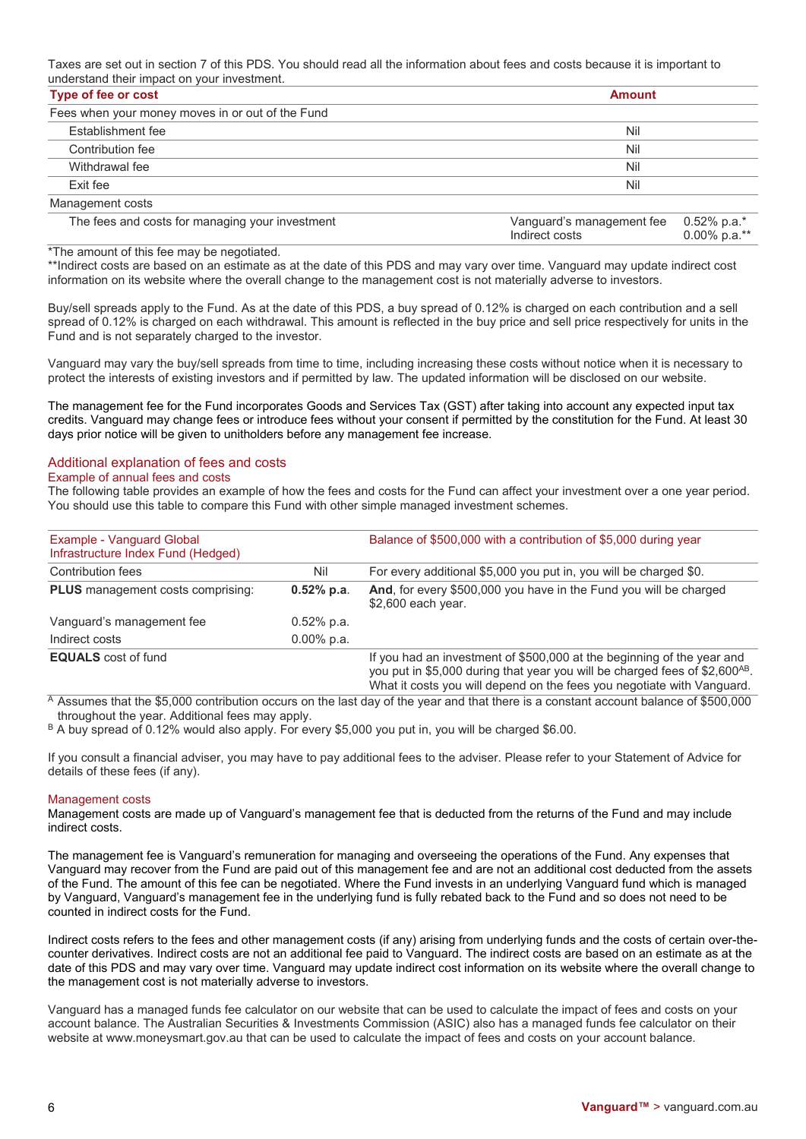Taxes are set out in section 7 of this PDS. You should read all the information about fees and costs because it is important to understand their impact on your investment.

| Type of fee or cost                              | <b>Amount</b>                                                                    |  |
|--------------------------------------------------|----------------------------------------------------------------------------------|--|
| Fees when your money moves in or out of the Fund |                                                                                  |  |
| Establishment fee                                | Nil                                                                              |  |
| Contribution fee                                 | Nil                                                                              |  |
| Withdrawal fee                                   | Nil                                                                              |  |
| Exit fee                                         | Nil                                                                              |  |
| Management costs                                 |                                                                                  |  |
| The fees and costs for managing your investment  | Vanguard's management fee<br>$0.52\%$ p.a.*<br>$0.00\%$ p.a.**<br>Indirect costs |  |

\*The amount of this fee may be negotiated.

\*\*Indirect costs are based on an estimate as at the date of this PDS and may vary over time. Vanguard may update indirect cost information on its website where the overall change to the management cost is not materially adverse to investors.

Buy/sell spreads apply to the Fund. As at the date of this PDS, a buy spread of 0.12% is charged on each contribution and a sell spread of 0.12% is charged on each withdrawal. This amount is reflected in the buy price and sell price respectively for units in the Fund and is not separately charged to the investor.

Vanguard may vary the buy/sell spreads from time to time, including increasing these costs without notice when it is necessary to protect the interests of existing investors and if permitted by law. The updated information will be disclosed on our website.

The management fee for the Fund incorporates Goods and Services Tax (GST) after taking into account any expected input tax credits. Vanguard may change fees or introduce fees without your consent if permitted by the constitution for the Fund. At least 30 days prior notice will be given to unitholders before any management fee increase.

## Additional explanation of fees and costs

#### Example of annual fees and costs

The following table provides an example of how the fees and costs for the Fund can affect your investment over a one year period. You should use this table to compare this Fund with other simple managed investment schemes.

| Example - Vanguard Global<br>Infrastructure Index Fund (Hedged) |               | Balance of \$500,000 with a contribution of \$5,000 during year                                                                                                                                                                             |
|-----------------------------------------------------------------|---------------|---------------------------------------------------------------------------------------------------------------------------------------------------------------------------------------------------------------------------------------------|
| <b>Contribution fees</b>                                        | Nil           | For every additional \$5,000 you put in, you will be charged \$0.                                                                                                                                                                           |
| PLUS management costs comprising:                               | $0.52\%$ p.a. | And, for every \$500,000 you have in the Fund you will be charged<br>\$2,600 each year.                                                                                                                                                     |
| Vanguard's management fee                                       | $0.52\%$ p.a. |                                                                                                                                                                                                                                             |
| Indirect costs                                                  | $0.00\%$ p.a. |                                                                                                                                                                                                                                             |
| <b>EQUALS</b> cost of fund                                      |               | If you had an investment of \$500,000 at the beginning of the year and<br>you put in \$5,000 during that year you will be charged fees of \$2,600 <sup>AB</sup> .<br>What it costs you will depend on the fees you negotiate with Vanguard. |

A Assumes that the \$5,000 contribution occurs on the last day of the year and that there is a constant account balance of \$500,000 throughout the year. Additional fees may apply.

B A buy spread of 0.12% would also apply. For every \$5,000 you put in, you will be charged \$6.00.

If you consult a financial adviser, you may have to pay additional fees to the adviser. Please refer to your Statement of Advice for details of these fees (if any).

#### Management costs

Management costs are made up of Vanguard's management fee that is deducted from the returns of the Fund and may include indirect costs.

The management fee is Vanguard's remuneration for managing and overseeing the operations of the Fund. Any expenses that Vanguard may recover from the Fund are paid out of this management fee and are not an additional cost deducted from the assets of the Fund. The amount of this fee can be negotiated. Where the Fund invests in an underlying Vanguard fund which is managed by Vanguard, Vanguard's management fee in the underlying fund is fully rebated back to the Fund and so does not need to be counted in indirect costs for the Fund.

Indirect costs refers to the fees and other management costs (if any) arising from underlying funds and the costs of certain over-thecounter derivatives. Indirect costs are not an additional fee paid to Vanguard. The indirect costs are based on an estimate as at the date of this PDS and may vary over time. Vanguard may update indirect cost information on its website where the overall change to the management cost is not materially adverse to investors.

Vanguard has a managed funds fee calculator on our website that can be used to calculate the impact of fees and costs on your account balance. The Australian Securities & Investments Commission (ASIC) also has a managed funds fee calculator on their website at www.moneysmart.gov.au that can be used to calculate the impact of fees and costs on your account balance.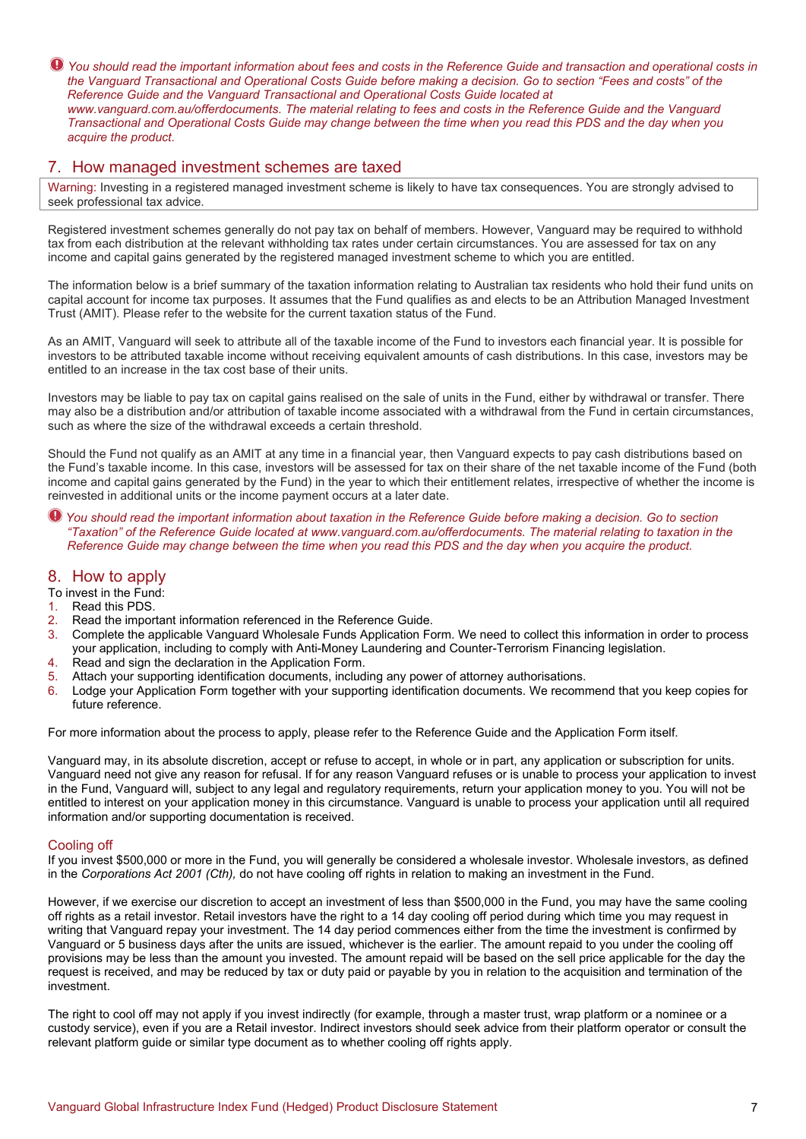*You should read the important information about fees and costs in the Reference Guide and transaction and operational costs in the Vanguard Transactional and Operational Costs Guide before making a decision. Go to section "Fees and costs" of the Reference Guide and the Vanguard Transactional and Operational Costs Guide located at www.vanguard.com.au/offerdocuments. The material relating to fees and costs in the Reference Guide and the Vanguard Transactional and Operational Costs Guide may change between the time when you read this PDS and the day when you acquire the product.*

## 7. How managed investment schemes are taxed

Warning: Investing in a registered managed investment scheme is likely to have tax consequences. You are strongly advised to seek professional tax advice.

Registered investment schemes generally do not pay tax on behalf of members. However, Vanguard may be required to withhold tax from each distribution at the relevant withholding tax rates under certain circumstances. You are assessed for tax on any income and capital gains generated by the registered managed investment scheme to which you are entitled.

The information below is a brief summary of the taxation information relating to Australian tax residents who hold their fund units on capital account for income tax purposes. It assumes that the Fund qualifies as and elects to be an Attribution Managed Investment Trust (AMIT). Please refer to the website for the current taxation status of the Fund.

As an AMIT, Vanguard will seek to attribute all of the taxable income of the Fund to investors each financial year. It is possible for investors to be attributed taxable income without receiving equivalent amounts of cash distributions. In this case, investors may be entitled to an increase in the tax cost base of their units.

Investors may be liable to pay tax on capital gains realised on the sale of units in the Fund, either by withdrawal or transfer. There may also be a distribution and/or attribution of taxable income associated with a withdrawal from the Fund in certain circumstances, such as where the size of the withdrawal exceeds a certain threshold.

Should the Fund not qualify as an AMIT at any time in a financial year, then Vanguard expects to pay cash distributions based on the Fund's taxable income. In this case, investors will be assessed for tax on their share of the net taxable income of the Fund (both income and capital gains generated by the Fund) in the year to which their entitlement relates, irrespective of whether the income is reinvested in additional units or the income payment occurs at a later date.

*You should read the important information about taxation in the Reference Guide before making a decision. Go to section "Taxation" of the Reference Guide located at [www.vanguard.com.au/offerdocuments.](http://www.vanguard.com.au/referenceguide) The material relating to taxation in the Reference Guide may change between the time when you read this PDS and the day when you acquire the product.* 

# 8. How to apply

# To invest in the Fund:<br>1. Read this PDS.

- Read this PDS.
- 2. Read the important information referenced in the Reference Guide.
- 3. Complete the applicable Vanguard Wholesale Funds Application Form. We need to collect this information in order to process your application, including to comply with Anti-Money Laundering and Counter-Terrorism Financing legislation.
- 4. Read and sign the declaration in the Application Form.
- 5. Attach your supporting identification documents, including any power of attorney authorisations.
- 6. Lodge your Application Form together with your supporting identification documents. We recommend that you keep copies for future reference.

For more information about the process to apply, please refer to the Reference Guide and the Application Form itself.

Vanguard may, in its absolute discretion, accept or refuse to accept, in whole or in part, any application or subscription for units. Vanguard need not give any reason for refusal. If for any reason Vanguard refuses or is unable to process your application to invest in the Fund, Vanguard will, subject to any legal and regulatory requirements, return your application money to you. You will not be entitled to interest on your application money in this circumstance. Vanguard is unable to process your application until all required information and/or supporting documentation is received.

## Cooling off

If you invest \$500,000 or more in the Fund, you will generally be considered a wholesale investor. Wholesale investors, as defined in the *Corporations Act 2001 (Cth),* do not have cooling off rights in relation to making an investment in the Fund.

However, if we exercise our discretion to accept an investment of less than \$500,000 in the Fund, you may have the same cooling off rights as a retail investor. Retail investors have the right to a 14 day cooling off period during which time you may request in writing that Vanguard repay your investment. The 14 day period commences either from the time the investment is confirmed by Vanguard or 5 business days after the units are issued, whichever is the earlier. The amount repaid to you under the cooling off provisions may be less than the amount you invested. The amount repaid will be based on the sell price applicable for the day the request is received, and may be reduced by tax or duty paid or payable by you in relation to the acquisition and termination of the investment.

The right to cool off may not apply if you invest indirectly (for example, through a master trust, wrap platform or a nominee or a custody service), even if you are a Retail investor. Indirect investors should seek advice from their platform operator or consult the relevant platform guide or similar type document as to whether cooling off rights apply.